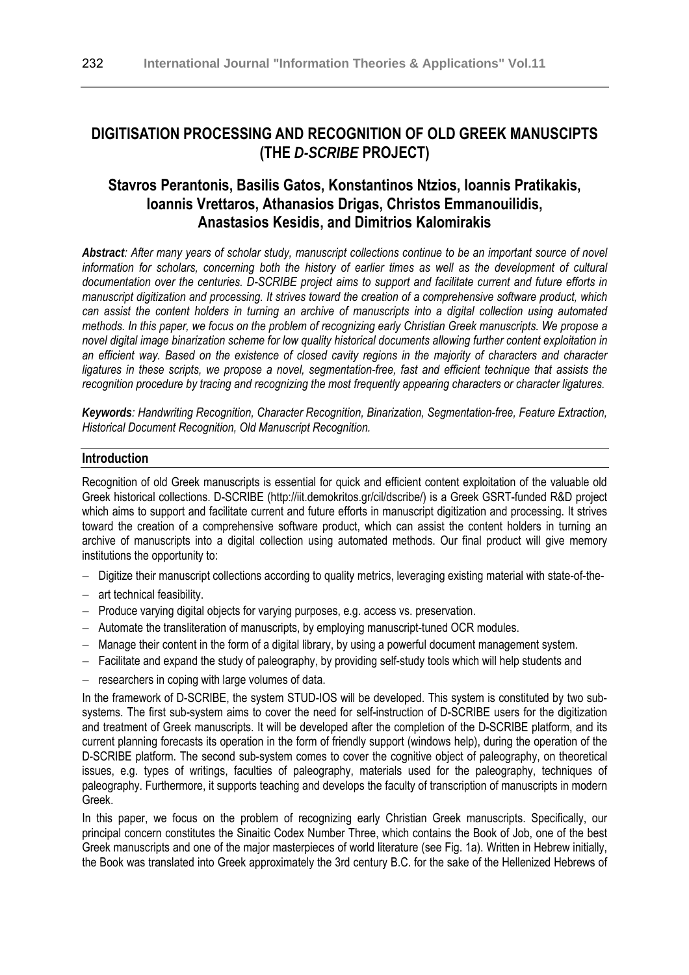# **DIGITISATION PROCESSING AND RECOGNITION OF OLD GREEK MANUSCIPTS (THE** *D-SCRIBE* **PROJECT)**

## **Stavros Perantonis, Basilis Gatos, Konstantinos Ntzios, Ioannis Pratikakis, Ioannis Vrettaros, Athanasios Drigas, Christos Emmanouilidis, Anastasios Kesidis, and Dimitrios Kalomirakis**

*Abstract: After many years of scholar study, manuscript collections continue to be an important source of novel information for scholars, concerning both the history of earlier times as well as the development of cultural documentation over the centuries. D-SCRIBE project aims to support and facilitate current and future efforts in manuscript digitization and processing. It strives toward the creation of a comprehensive software product, which can assist the content holders in turning an archive of manuscripts into a digital collection using automated methods. In this paper, we focus on the problem of recognizing early Christian Greek manuscripts. We propose a novel digital image binarization scheme for low quality historical documents allowing further content exploitation in an efficient way. Based on the existence of closed cavity regions in the majority of characters and character ligatures in these scripts, we propose a novel, segmentation-free, fast and efficient technique that assists the recognition procedure by tracing and recognizing the most frequently appearing characters or character ligatures.* 

*Keywords: Handwriting Recognition, Character Recognition, Binarization, Segmentation-free, Feature Extraction, Historical Document Recognition, Old Manuscript Recognition.* 

#### **Introduction**

Recognition of old Greek manuscripts is essential for quick and efficient content exploitation of the valuable old Greek historical collections. D-SCRIBE (http://iit.demokritos.gr/cil/dscribe/) is a Greek GSRT-funded R&D project which aims to support and facilitate current and future efforts in manuscript digitization and processing. It strives toward the creation of a comprehensive software product, which can assist the content holders in turning an archive of manuscripts into a digital collection using automated methods. Our final product will give memory institutions the opportunity to:

- − Digitize their manuscript collections according to quality metrics, leveraging existing material with state-of-the-
- − art technical feasibility.
- − Produce varying digital objects for varying purposes, e.g. access vs. preservation.
- − Automate the transliteration of manuscripts, by employing manuscript-tuned OCR modules.
- − Manage their content in the form of a digital library, by using a powerful document management system.
- − Facilitate and expand the study of paleography, by providing self-study tools which will help students and
- − researchers in coping with large volumes of data.

In the framework of D-SCRIBE, the system STUD-IOS will be developed. This system is constituted by two subsystems. The first sub-system aims to cover the need for self-instruction of D-SCRIBE users for the digitization and treatment of Greek manuscripts. It will be developed after the completion of the D-SCRIBE platform, and its current planning forecasts its operation in the form of friendly support (windows help), during the operation of the D-SCRIBE platform. The second sub-system comes to cover the cognitive object of paleography, on theoretical issues, e.g. types of writings, faculties of paleography, materials used for the paleography, techniques of paleography. Furthermore, it supports teaching and develops the faculty of transcription of manuscripts in modern Greek.

In this paper, we focus on the problem of recognizing early Christian Greek manuscripts. Specifically, our principal concern constitutes the Sinaitic Codex Number Three, which contains the Book of Job, one of the best Greek manuscripts and one of the major masterpieces of world literature (see Fig. 1a). Written in Hebrew initially, the Book was translated into Greek approximately the 3rd century B.C. for the sake of the Hellenized Hebrews of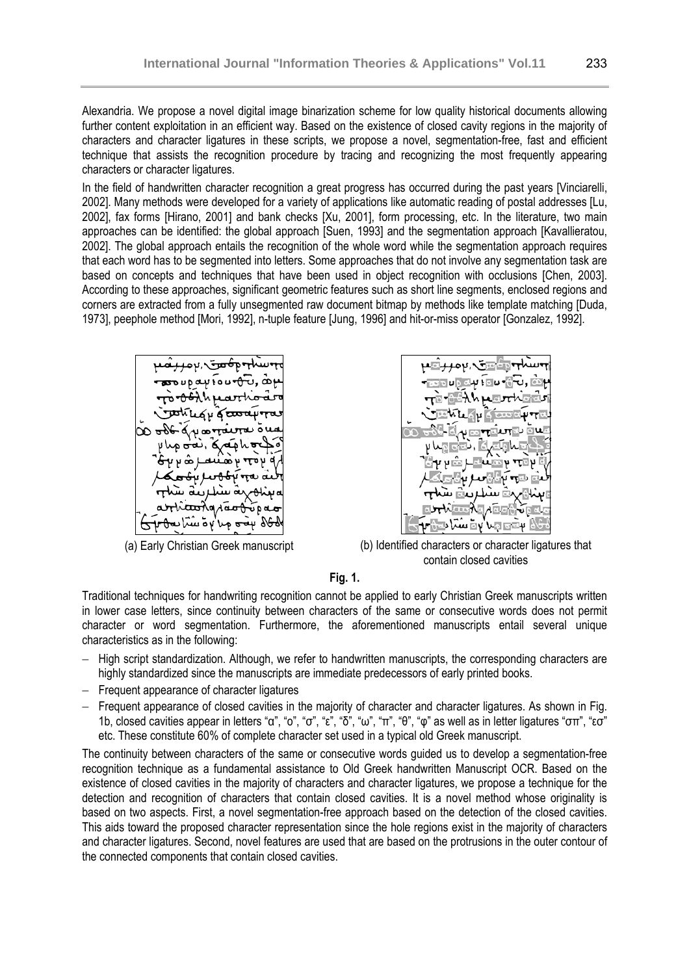Alexandria. We propose a novel digital image binarization scheme for low quality historical documents allowing further content exploitation in an efficient way. Based on the existence of closed cavity regions in the majority of characters and character ligatures in these scripts, we propose a novel, segmentation-free, fast and efficient technique that assists the recognition procedure by tracing and recognizing the most frequently appearing characters or character ligatures.

In the field of handwritten character recognition a great progress has occurred during the past years [Vinciarelli, 2002]. Many methods were developed for a variety of applications like automatic reading of postal addresses [Lu, 2002], fax forms [Hirano, 2001] and bank checks [Xu, 2001], form processing, etc. In the literature, two main approaches can be identified: the global approach [Suen, 1993] and the segmentation approach [Kavallieratou, 2002]. The global approach entails the recognition of the whole word while the segmentation approach requires that each word has to be segmented into letters. Some approaches that do not involve any segmentation task are based on concepts and techniques that have been used in object recognition with occlusions [Chen, 2003]. According to these approaches, significant geometric features such as short line segments, enclosed regions and corners are extracted from a fully unsegmented raw document bitmap by methods like template matching [Duda, 1973], peephole method [Mori, 1992], n-tuple feature [Jung, 1996] and hit-or-miss operator [Gonzalez, 1992].





(a) Early Christian Greek manuscript (b) Identified characters or character ligatures that contain closed cavities

#### **Fig. 1.**

Traditional techniques for handwriting recognition cannot be applied to early Christian Greek manuscripts written in lower case letters, since continuity between characters of the same or consecutive words does not permit character or word segmentation. Furthermore, the aforementioned manuscripts entail several unique characteristics as in the following:

- − High script standardization. Although, we refer to handwritten manuscripts, the corresponding characters are highly standardized since the manuscripts are immediate predecessors of early printed books.
- − Frequent appearance of character ligatures
- − Frequent appearance of closed cavities in the majority of character and character ligatures. As shown in Fig. 1b, closed cavities appear in letters "α", "ο", "σ", "ε", "δ", "ω", "π", "θ", "φ" as well as in letter ligatures "σπ", "εσ" etc. These constitute 60% of complete character set used in a typical old Greek manuscript.

The continuity between characters of the same or consecutive words guided us to develop a segmentation-free recognition technique as a fundamental assistance to Old Greek handwritten Manuscript OCR. Based on the existence of closed cavities in the majority of characters and character ligatures, we propose a technique for the detection and recognition of characters that contain closed cavities. It is a novel method whose originality is based on two aspects. First, a novel segmentation-free approach based on the detection of the closed cavities. This aids toward the proposed character representation since the hole regions exist in the majority of characters and character ligatures. Second, novel features are used that are based on the protrusions in the outer contour of the connected components that contain closed cavities.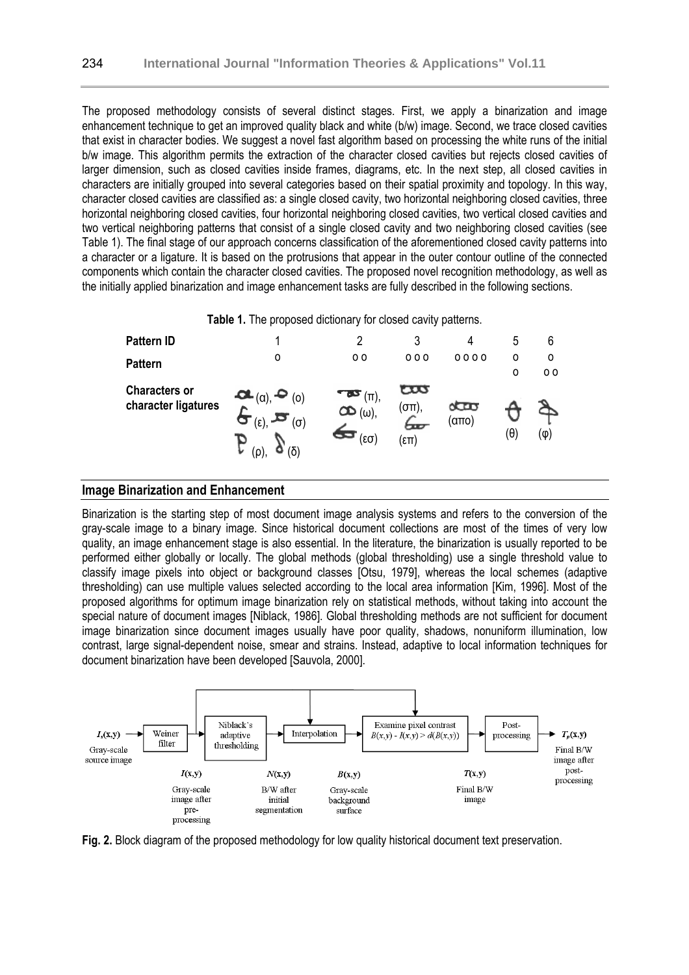The proposed methodology consists of several distinct stages. First, we apply a binarization and image enhancement technique to get an improved quality black and white (b/w) image. Second, we trace closed cavities that exist in character bodies. We suggest a novel fast algorithm based on processing the white runs of the initial b/w image. This algorithm permits the extraction of the character closed cavities but rejects closed cavities of larger dimension, such as closed cavities inside frames, diagrams, etc. In the next step, all closed cavities in characters are initially grouped into several categories based on their spatial proximity and topology. In this way, character closed cavities are classified as: a single closed cavity, two horizontal neighboring closed cavities, three horizontal neighboring closed cavities, four horizontal neighboring closed cavities, two vertical closed cavities and two vertical neighboring patterns that consist of a single closed cavity and two neighboring closed cavities (see Table 1). The final stage of our approach concerns classification of the aforementioned closed cavity patterns into a character or a ligature. It is based on the protrusions that appear in the outer contour outline of the connected components which contain the character closed cavities. The proposed novel recognition methodology, as well as the initially applied binarization and image enhancement tasks are fully described in the following sections.



#### **Image Binarization and Enhancement**

Binarization is the starting step of most document image analysis systems and refers to the conversion of the gray-scale image to a binary image. Since historical document collections are most of the times of very low quality, an image enhancement stage is also essential. In the literature, the binarization is usually reported to be performed either globally or locally. The global methods (global thresholding) use a single threshold value to classify image pixels into object or background classes [Otsu, 1979], whereas the local schemes (adaptive thresholding) can use multiple values selected according to the local area information [Kim, 1996]. Most of the proposed algorithms for optimum image binarization rely on statistical methods, without taking into account the special nature of document images [Niblack, 1986]. Global thresholding methods are not sufficient for document image binarization since document images usually have poor quality, shadows, nonuniform illumination, low contrast, large signal-dependent noise, smear and strains. Instead, adaptive to local information techniques for document binarization have been developed [Sauvola, 2000].



**Fig. 2.** Block diagram of the proposed methodology for low quality historical document text preservation.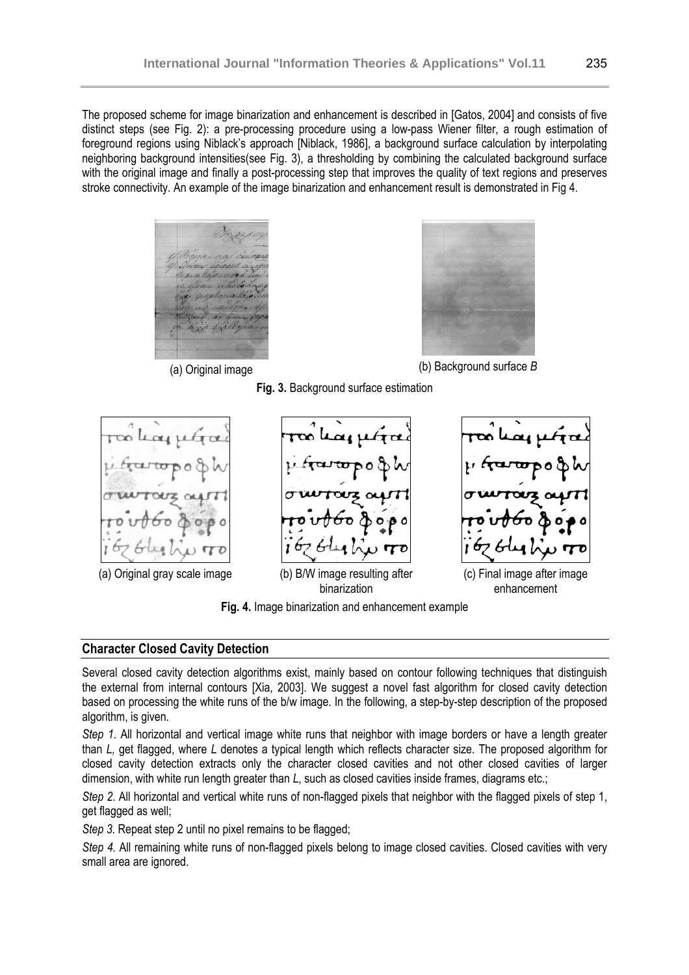The proposed scheme for image binarization and enhancement is described in [Gatos, 2004] and consists of five distinct steps (see Fig. 2): a pre-processing procedure using a low-pass Wiener filter, a rough estimation of foreground regions using Niblack's approach [Niblack, 1986], a background surface calculation by interpolating neighboring background intensities(see Fig. 3), a thresholding by combining the calculated background surface with the original image and finally a post-processing step that improves the quality of text regions and preserves stroke connectivity. An example of the image binarization and enhancement result is demonstrated in Fig 4.







(a) Original image (b) Background surface *B*

**Fig. 3.** Background surface estimation



### **Fig. 4.** Image binarization and enhancement example

### **Character Closed Cavity Detection**

Several closed cavity detection algorithms exist, mainly based on contour following techniques that distinguish the external from internal contours [Xia, 2003]. We suggest a novel fast algorithm for closed cavity detection based on processing the white runs of the b/w image. In the following, a step-by-step description of the proposed algorithm, is given.

*Step 1*. All horizontal and vertical image white runs that neighbor with image borders or have a length greater than *L,* get flagged, where *L* denotes a typical length which reflects character size. The proposed algorithm for closed cavity detection extracts only the character closed cavities and not other closed cavities of larger dimension, with white run length greater than *L*, such as closed cavities inside frames, diagrams etc.;

*Step 2*. All horizontal and vertical white runs of non-flagged pixels that neighbor with the flagged pixels of step 1, get flagged as well;

*Step 3*. Repeat step 2 until no pixel remains to be flagged;

*Step 4.* All remaining white runs of non-flagged pixels belong to image closed cavities. Closed cavities with very small area are ignored.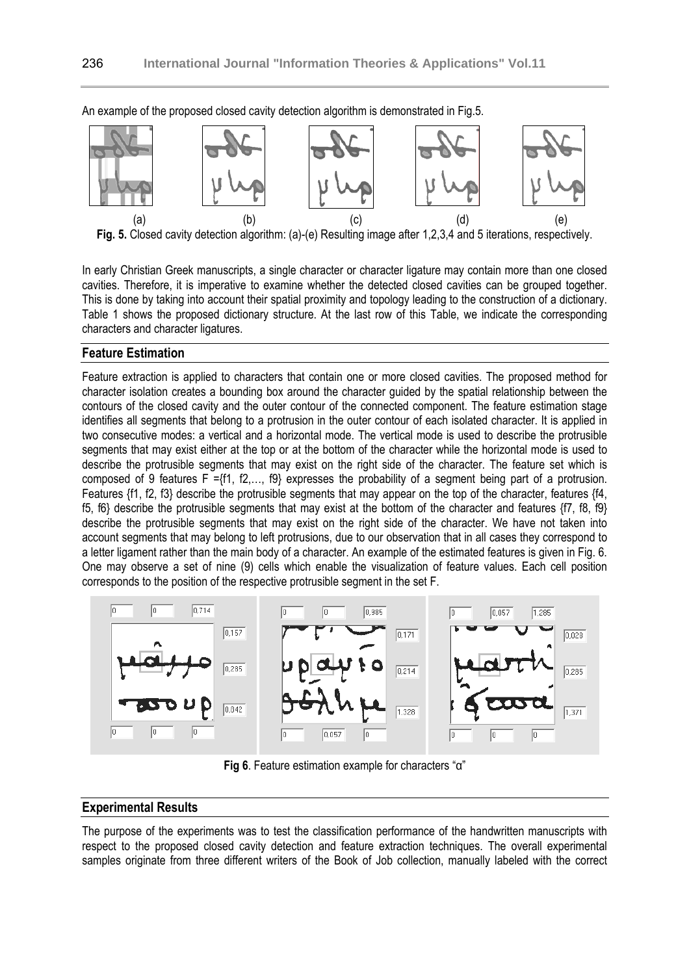

An example of the proposed closed cavity detection algorithm is demonstrated in Fig.5.

**Fig. 5.** Closed cavity detection algorithm: (a)-(e) Resulting image after 1,2,3,4 and 5 iterations, respectively.

In early Christian Greek manuscripts, a single character or character ligature may contain more than one closed cavities. Therefore, it is imperative to examine whether the detected closed cavities can be grouped together. This is done by taking into account their spatial proximity and topology leading to the construction of a dictionary. Table 1 shows the proposed dictionary structure. At the last row of this Table, we indicate the corresponding characters and character ligatures.

#### **Feature Estimation**

Feature extraction is applied to characters that contain one or more closed cavities. The proposed method for character isolation creates a bounding box around the character guided by the spatial relationship between the contours of the closed cavity and the outer contour of the connected component. The feature estimation stage identifies all segments that belong to a protrusion in the outer contour of each isolated character. It is applied in two consecutive modes: a vertical and a horizontal mode. The vertical mode is used to describe the protrusible segments that may exist either at the top or at the bottom of the character while the horizontal mode is used to describe the protrusible segments that may exist on the right side of the character. The feature set which is composed of 9 features F ={f1, f2,…, f9} expresses the probability of a segment being part of a protrusion. Features {f1, f2, f3} describe the protrusible segments that may appear on the top of the character, features {f4, f5, f6} describe the protrusible segments that may exist at the bottom of the character and features {f7, f8, f9} describe the protrusible segments that may exist on the right side of the character. We have not taken into account segments that may belong to left protrusions, due to our observation that in all cases they correspond to a letter ligament rather than the main body of a character. An example of the estimated features is given in Fig. 6. One may observe a set of nine (9) cells which enable the visualization of feature values. Each cell position corresponds to the position of the respective protrusible segment in the set F.



**Fig 6**. Feature estimation example for characters "α"

### **Experimental Results**

The purpose of the experiments was to test the classification performance of the handwritten manuscripts with respect to the proposed closed cavity detection and feature extraction techniques. The overall experimental samples originate from three different writers of the Book of Job collection, manually labeled with the correct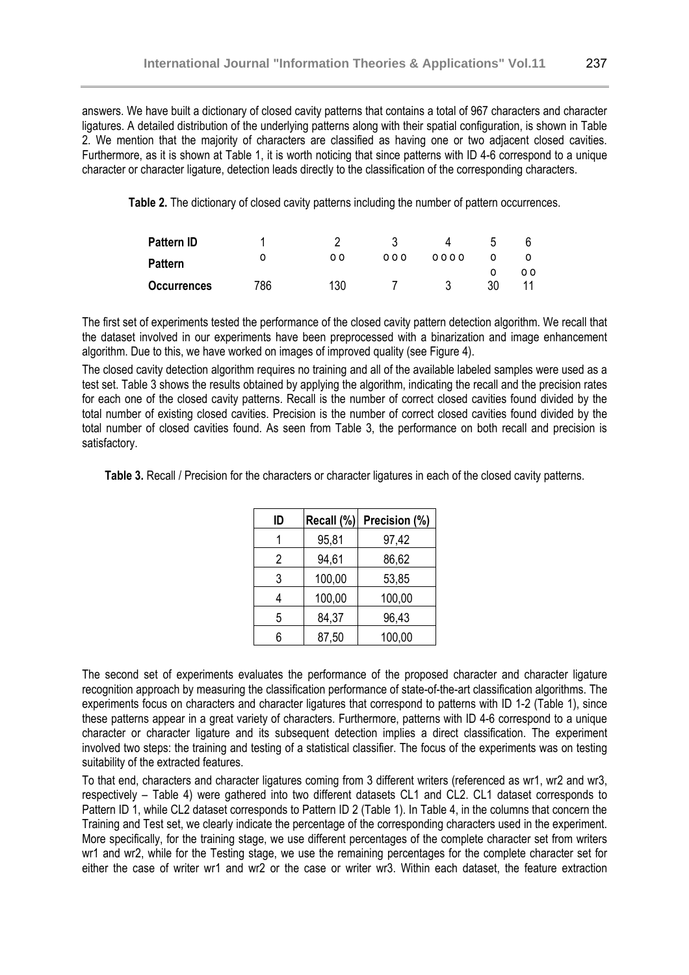answers. We have built a dictionary of closed cavity patterns that contains a total of 967 characters and character ligatures. A detailed distribution of the underlying patterns along with their spatial configuration, is shown in Table 2. We mention that the majority of characters are classified as having one or two adjacent closed cavities. Furthermore, as it is shown at Table 1, it is worth noticing that since patterns with ID 4-6 correspond to a unique character or character ligature, detection leads directly to the classification of the corresponding characters.

**Table 2.** The dictionary of closed cavity patterns including the number of pattern occurrences.

| <b>Pattern ID</b>  |     |     |     |      |    |     |
|--------------------|-----|-----|-----|------|----|-----|
| <b>Pattern</b>     |     | 00  | 000 | 0000 |    | o o |
| <b>Occurrences</b> | 786 | 130 |     |      | 30 |     |

The first set of experiments tested the performance of the closed cavity pattern detection algorithm. We recall that the dataset involved in our experiments have been preprocessed with a binarization and image enhancement algorithm. Due to this, we have worked on images of improved quality (see Figure 4).

The closed cavity detection algorithm requires no training and all of the available labeled samples were used as a test set. Table 3 shows the results obtained by applying the algorithm, indicating the recall and the precision rates for each one of the closed cavity patterns. Recall is the number of correct closed cavities found divided by the total number of existing closed cavities. Precision is the number of correct closed cavities found divided by the total number of closed cavities found. As seen from Table 3, the performance on both recall and precision is satisfactory.

**Table 3.** Recall / Precision for the characters or character ligatures in each of the closed cavity patterns.

| ID | Recall (%) | Precision (%) |
|----|------------|---------------|
|    | 95,81      | 97,42         |
| 2  | 94,61      | 86,62         |
| 3  | 100,00     | 53,85         |
| 4  | 100,00     | 100,00        |
| 5  | 84,37      | 96,43         |
| 6  | 87,50      | 100,00        |

The second set of experiments evaluates the performance of the proposed character and character ligature recognition approach by measuring the classification performance of state-of-the-art classification algorithms. The experiments focus on characters and character ligatures that correspond to patterns with ID 1-2 (Table 1), since these patterns appear in a great variety of characters. Furthermore, patterns with ID 4-6 correspond to a unique character or character ligature and its subsequent detection implies a direct classification. The experiment involved two steps: the training and testing of a statistical classifier. The focus of the experiments was on testing suitability of the extracted features.

To that end, characters and character ligatures coming from 3 different writers (referenced as wr1, wr2 and wr3, respectively – Table 4) were gathered into two different datasets CL1 and CL2. CL1 dataset corresponds to Pattern ID 1, while CL2 dataset corresponds to Pattern ID 2 (Table 1). In Table 4, in the columns that concern the Training and Test set, we clearly indicate the percentage of the corresponding characters used in the experiment. More specifically, for the training stage, we use different percentages of the complete character set from writers wr1 and wr2, while for the Testing stage, we use the remaining percentages for the complete character set for either the case of writer wr1 and wr2 or the case or writer wr3. Within each dataset, the feature extraction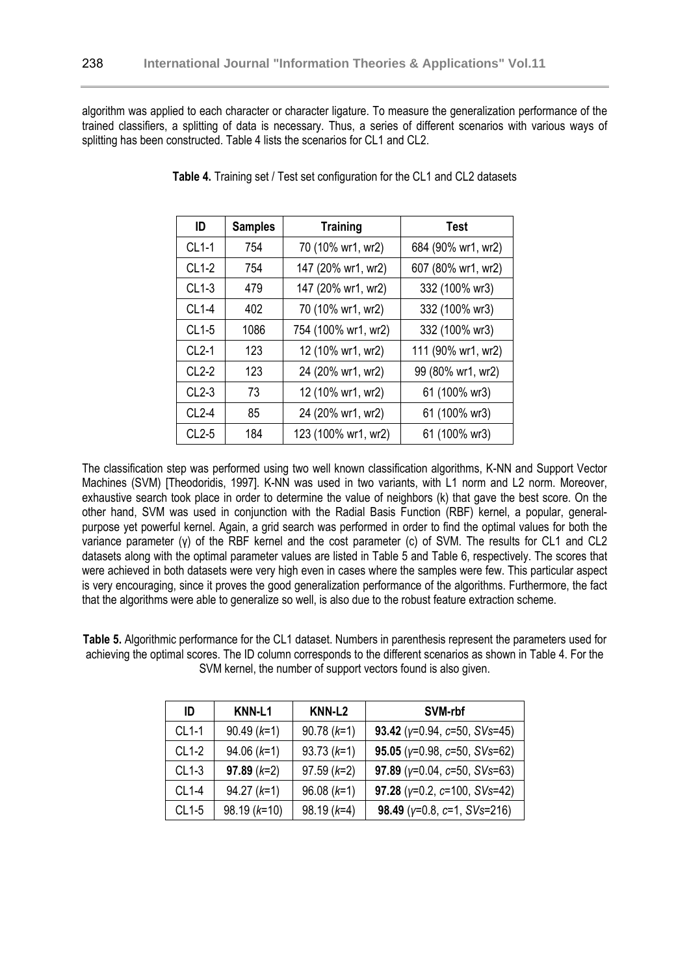algorithm was applied to each character or character ligature. To measure the generalization performance of the trained classifiers, a splitting of data is necessary. Thus, a series of different scenarios with various ways of splitting has been constructed. Table 4 lists the scenarios for CL1 and CL2.

| ID      | <b>Samples</b> | <b>Training</b>     | <b>Test</b>        |  |
|---------|----------------|---------------------|--------------------|--|
| $CL1-1$ | 754            | 70 (10% wr1, wr2)   | 684 (90% wr1, wr2) |  |
| $CL1-2$ | 754            | 147 (20% wr1, wr2)  | 607 (80% wr1, wr2) |  |
| $CL1-3$ | 479            | 147 (20% wr1, wr2)  | 332 (100% wr3)     |  |
| $CL1-4$ | 402            | 70 (10% wr1, wr2)   | 332 (100% wr3)     |  |
| $CL1-5$ | 1086           | 754 (100% wr1, wr2) | 332 (100% wr3)     |  |
| $CL2-1$ | 123            | 12 (10% wr1, wr2)   | 111 (90% wr1, wr2) |  |
| $CL2-2$ | 123            | 24 (20% wr1, wr2)   | 99 (80% wr1, wr2)  |  |
| $CL2-3$ | 73             | 12 (10% wr1, wr2)   | 61 (100% wr3)      |  |
| $CL2-4$ | 85             | 24 (20% wr1, wr2)   | 61 (100% wr3)      |  |
| $CL2-5$ | 184            | 123 (100% wr1, wr2) | 61 (100% wr3)      |  |

**Table 4.** Training set / Test set configuration for the CL1 and CL2 datasets

The classification step was performed using two well known classification algorithms, K-NN and Support Vector Machines (SVM) [Theodoridis, 1997]. K-NN was used in two variants, with L1 norm and L2 norm. Moreover, exhaustive search took place in order to determine the value of neighbors (k) that gave the best score. On the other hand, SVM was used in conjunction with the Radial Basis Function (RBF) kernel, a popular, generalpurpose yet powerful kernel. Again, a grid search was performed in order to find the optimal values for both the variance parameter (γ) of the RBF kernel and the cost parameter (c) of SVM. The results for CL1 and CL2 datasets along with the optimal parameter values are listed in Table 5 and Table 6, respectively. The scores that were achieved in both datasets were very high even in cases where the samples were few. This particular aspect is very encouraging, since it proves the good generalization performance of the algorithms. Furthermore, the fact that the algorithms were able to generalize so well, is also due to the robust feature extraction scheme.

**Table 5.** Algorithmic performance for the CL1 dataset. Numbers in parenthesis represent the parameters used for achieving the optimal scores. The ID column corresponds to the different scenarios as shown in Table 4. For the SVM kernel, the number of support vectors found is also given.

| ID      | KNN-L1         | KNN-L <sub>2</sub> | SVM-rbf                                |
|---------|----------------|--------------------|----------------------------------------|
| $CL1-1$ | $90.49(k=1)$   | $90.78(k=1)$       | 93.42 ( $y=0.94$ , $c=50$ , SVs=45)    |
| $CL1-2$ | $94.06 (k=1)$  | $93.73(k=1)$       | 95.05 ( $y=0.98$ , $c=50$ , SVs=62)    |
| $CL1-3$ | $97.89(k=2)$   | $97.59(k=2)$       | 97.89 ( $y=0.04$ , $c=50$ , SVs=63)    |
| $CL1-4$ | $94.27 (k=1)$  | $96.08 (k=1)$      | 97.28 ( $y=0.2$ , $c=100$ , $SVs=42$ ) |
| $CL1-5$ | $98.19 (k=10)$ | $98.19(k=4)$       | 98.49 ( $y=0.8$ , $c=1$ , SVs=216)     |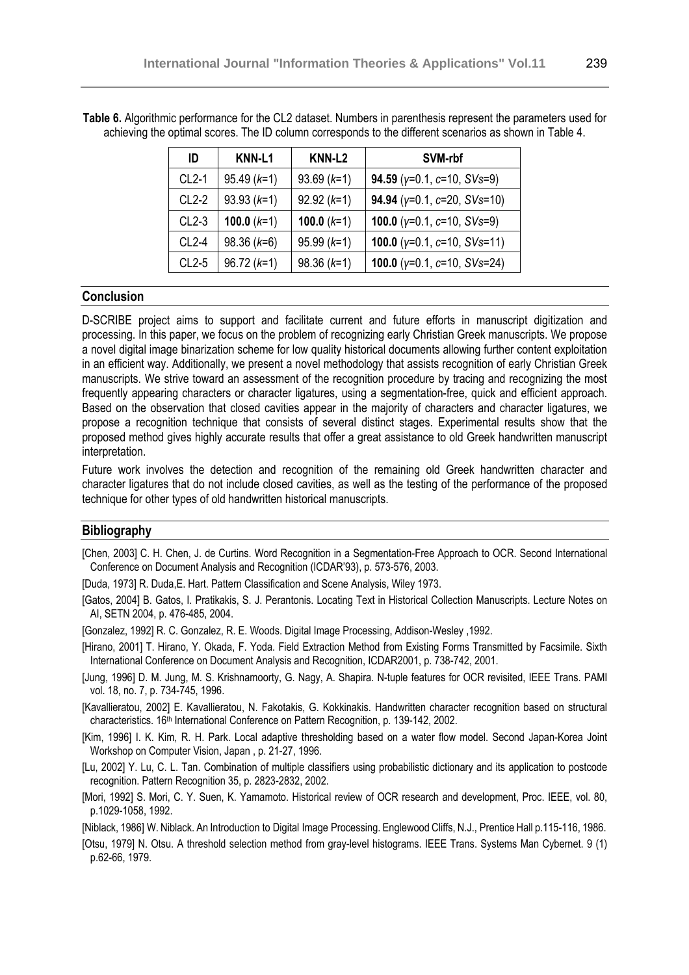| ID      | KNN-L1        | KNN-L <sub>2</sub> | SVM-rbf                                     |
|---------|---------------|--------------------|---------------------------------------------|
| $CL2-1$ | $95.49(k=1)$  | $93.69 (k=1)$      | 94.59 ( $y=0.1$ , $c=10$ , $SVs=9$ )        |
| $CL2-2$ | $93.93(k=1)$  | $92.92 (k=1)$      | 94.94 ( $y=0.1$ , $c=20$ , $SVs=10$ )       |
| $CL2-3$ | 100.0 $(k=1)$ | 100.0 $(k=1)$      | <b>100.0</b> ( $y=0.1$ , $c=10$ , $SVs=9$ ) |
| $CL2-4$ | $98.36 (k=6)$ | $95.99(k=1)$       | 100.0 ( $y=0.1$ , $c=10$ , $SVs=11$ )       |
| $CL2-5$ | $96.72 (k=1)$ | $98.36 (k=1)$      | 100.0 ( $y=0.1$ , $c=10$ , $SVs=24$ )       |

**Table 6.** Algorithmic performance for the CL2 dataset. Numbers in parenthesis represent the parameters used for achieving the optimal scores. The ID column corresponds to the different scenarios as shown in Table 4.

#### **Conclusion**

D-SCRIBE project aims to support and facilitate current and future efforts in manuscript digitization and processing. In this paper, we focus on the problem of recognizing early Christian Greek manuscripts. We propose a novel digital image binarization scheme for low quality historical documents allowing further content exploitation in an efficient way. Additionally, we present a novel methodology that assists recognition of early Christian Greek manuscripts. We strive toward an assessment of the recognition procedure by tracing and recognizing the most frequently appearing characters or character ligatures, using a segmentation-free, quick and efficient approach. Based on the observation that closed cavities appear in the majority of characters and character ligatures, we propose a recognition technique that consists of several distinct stages. Experimental results show that the proposed method gives highly accurate results that offer a great assistance to old Greek handwritten manuscript interpretation.

Future work involves the detection and recognition of the remaining old Greek handwritten character and character ligatures that do not include closed cavities, as well as the testing of the performance of the proposed technique for other types of old handwritten historical manuscripts.

### **Bibliography**

[Chen, 2003] C. H. Chen, J. de Curtins. Word Recognition in a Segmentation-Free Approach to OCR. Second International Conference on Document Analysis and Recognition (ICDAR'93), p. 573-576, 2003.

[Duda, 1973] R. Duda,E. Hart. Pattern Classification and Scene Analysis, Wiley 1973.

[Gatos, 2004] B. Gatos, I. Pratikakis, S. J. Perantonis. Locating Text in Historical Collection Manuscripts. Lecture Notes on AI, SETN 2004, p. 476-485, 2004.

[Gonzalez, 1992] R. C. Gonzalez, R. E. Woods. Digital Image Processing, Addison-Wesley ,1992.

- [Hirano, 2001] T. Hirano, Y. Okada, F. Yoda. Field Extraction Method from Existing Forms Transmitted by Facsimile. Sixth International Conference on Document Analysis and Recognition, ICDAR2001, p. 738-742, 2001.
- [Jung, 1996] D. M. Jung, M. S. Krishnamoorty, G. Nagy, A. Shapira. N-tuple features for OCR revisited, IEEE Trans. PAMI vol. 18, no. 7, p. 734-745, 1996.
- [Kavallieratou, 2002] E. Kavallieratou, N. Fakotakis, G. Kokkinakis. Handwritten character recognition based on structural characteristics. 16<sup>th</sup> International Conference on Pattern Recognition, p. 139-142, 2002.
- [Kim, 1996] I. K. Kim, R. H. Park. Local adaptive thresholding based on a water flow model. Second Japan-Korea Joint Workshop on Computer Vision, Japan , p. 21-27, 1996.
- [Lu, 2002] Y. Lu, C. L. Tan. Combination of multiple classifiers using probabilistic dictionary and its application to postcode recognition. Pattern Recognition 35, p. 2823-2832, 2002.
- [Mori, 1992] S. Mori, C. Y. Suen, K. Yamamoto. Historical review of OCR research and development, Proc. IEEE, vol. 80, p.1029-1058, 1992.

[Niblack, 1986] W. Niblack. An Introduction to Digital Image Processing. Englewood Cliffs, N.J., Prentice Hall p.115-116, 1986.

[Otsu, 1979] N. Otsu. A threshold selection method from gray-level histograms. IEEE Trans. Systems Man Cybernet. 9 (1) p.62-66, 1979.